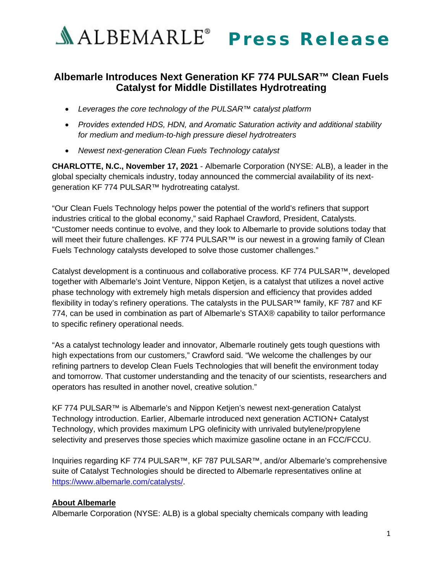

## **Albemarle Introduces Next Generation KF 774 PULSAR™ Clean Fuels Catalyst for Middle Distillates Hydrotreating**

- *Leverages the core technology of the PULSAR™ catalyst platform*
- *Provides extended HDS, HDN, and Aromatic Saturation activity and additional stability for medium and medium-to-high pressure diesel hydrotreaters*
- *Newest next-generation Clean Fuels Technology catalyst*

**CHARLOTTE, N.C., November 17, 2021** - Albemarle Corporation (NYSE: ALB), a leader in the global specialty chemicals industry, today announced the commercial availability of its nextgeneration KF 774 PULSAR™ hydrotreating catalyst.

"Our Clean Fuels Technology helps power the potential of the world's refiners that support industries critical to the global economy," said Raphael Crawford, President, Catalysts. "Customer needs continue to evolve, and they look to Albemarle to provide solutions today that will meet their future challenges. KF 774 PULSAR™ is our newest in a growing family of Clean Fuels Technology catalysts developed to solve those customer challenges."

Catalyst development is a continuous and collaborative process. KF 774 PULSAR™, developed together with Albemarle's Joint Venture, Nippon Ketjen, is a catalyst that utilizes a novel active phase technology with extremely high metals dispersion and efficiency that provides added flexibility in today's refinery operations. The catalysts in the PULSAR™ family, KF 787 and KF 774, can be used in combination as part of Albemarle's STAX® capability to tailor performance to specific refinery operational needs.

"As a catalyst technology leader and innovator, Albemarle routinely gets tough questions with high expectations from our customers," Crawford said. "We welcome the challenges by our refining partners to develop Clean Fuels Technologies that will benefit the environment today and tomorrow. That customer understanding and the tenacity of our scientists, researchers and operators has resulted in another novel, creative solution."

KF 774 PULSAR™ is Albemarle's and Nippon Ketjen's newest next-generation Catalyst Technology introduction. Earlier, Albemarle introduced next generation ACTION+ Catalyst Technology, which provides maximum LPG olefinicity with unrivaled butylene/propylene selectivity and preserves those species which maximize gasoline octane in an FCC/FCCU.

Inquiries regarding KF 774 PULSAR™, KF 787 PULSAR™, and/or Albemarle's comprehensive suite of Catalyst Technologies should be directed to Albemarle representatives online at [https://www.albemarle.com/catalysts/.](https://www.albemarle.com/catalysts/)

## **About Albemarle**

Albemarle Corporation (NYSE: ALB) is a global specialty chemicals company with leading